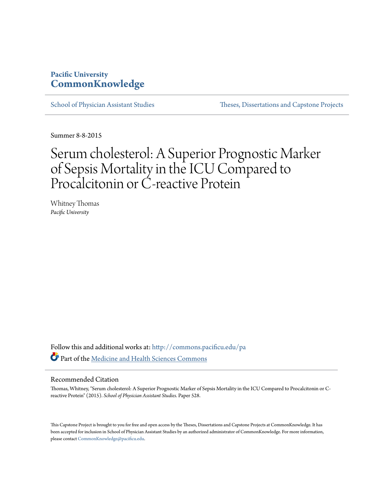## **Pacific University [CommonKnowledge](http://commons.pacificu.edu?utm_source=commons.pacificu.edu%2Fpa%2F528&utm_medium=PDF&utm_campaign=PDFCoverPages)**

[School of Physician Assistant Studies](http://commons.pacificu.edu/pa?utm_source=commons.pacificu.edu%2Fpa%2F528&utm_medium=PDF&utm_campaign=PDFCoverPages) [Theses, Dissertations and Capstone Projects](http://commons.pacificu.edu/etds?utm_source=commons.pacificu.edu%2Fpa%2F528&utm_medium=PDF&utm_campaign=PDFCoverPages)

Summer 8-8-2015

# Serum cholesterol: A Superior Prognostic Marker of Sepsis Mortality in the ICU Compared to Procalcitonin or C-reactive Protein

Whitney Thomas *Pacific University*

Follow this and additional works at: [http://commons.pacificu.edu/pa](http://commons.pacificu.edu/pa?utm_source=commons.pacificu.edu%2Fpa%2F528&utm_medium=PDF&utm_campaign=PDFCoverPages) Part of the [Medicine and Health Sciences Commons](http://network.bepress.com/hgg/discipline/648?utm_source=commons.pacificu.edu%2Fpa%2F528&utm_medium=PDF&utm_campaign=PDFCoverPages)

#### Recommended Citation

Thomas, Whitney, "Serum cholesterol: A Superior Prognostic Marker of Sepsis Mortality in the ICU Compared to Procalcitonin or Creactive Protein" (2015). *School of Physician Assistant Studies.* Paper 528.

This Capstone Project is brought to you for free and open access by the Theses, Dissertations and Capstone Projects at CommonKnowledge. It has been accepted for inclusion in School of Physician Assistant Studies by an authorized administrator of CommonKnowledge. For more information, please contact [CommonKnowledge@pacificu.edu.](mailto:CommonKnowledge@pacificu.edu)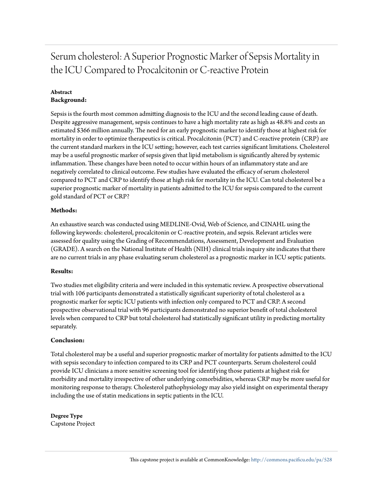Serum cholesterol: A Superior Prognostic Marker of Sepsis Mortality in the ICU Compared to Procalcitonin or C-reactive Protein

#### **Abstract Background:**

Sepsis is the fourth most common admitting diagnosis to the ICU and the second leading cause of death. Despite aggressive management, sepsis continues to have a high mortality rate as high as 48.8% and costs an estimated \$366 million annually. The need for an early prognostic marker to identify those at highest risk for mortality in order to optimize therapeutics is critical. Procalcitonin (PCT) and C-reactive protein (CRP) are the current standard markers in the ICU setting; however, each test carries significant limitations. Cholesterol may be a useful prognostic marker of sepsis given that lipid metabolism is significantly altered by systemic inflammation. These changes have been noted to occur within hours of an inflammatory state and are negatively correlated to clinical outcome. Few studies have evaluated the efficacy of serum cholesterol compared to PCT and CRP to identify those at high risk for mortality in the ICU. Can total cholesterol be a superior prognostic marker of mortality in patients admitted to the ICU for sepsis compared to the current gold standard of PCT or CRP?

### **Methods:**

An exhaustive search was conducted using MEDLINE-Ovid, Web of Science, and CINAHL using the following keywords: cholesterol, procalcitonin or C-reactive protein, and sepsis. Relevant articles were assessed for quality using the Grading of Recommendations, Assessment, Development and Evaluation (GRADE). A search on the National Institute of Health (NIH) clinical trials inquiry site indicates that there are no current trials in any phase evaluating serum cholesterol as a prognostic marker in ICU septic patients.

#### **Results:**

Two studies met eligibility criteria and were included in this systematic review. A prospective observational trial with 106 participants demonstrated a statistically significant superiority of total cholesterol as a prognostic marker for septic ICU patients with infection only compared to PCT and CRP. A second prospective observational trial with 96 participants demonstrated no superior benefit of total cholesterol levels when compared to CRP but total cholesterol had statistically significant utility in predicting mortality separately.

#### **Conclusion:**

Total cholesterol may be a useful and superior prognostic marker of mortality for patients admitted to the ICU with sepsis secondary to infection compared to its CRP and PCT counterparts. Serum cholesterol could provide ICU clinicians a more sensitive screening tool for identifying those patients at highest risk for morbidity and mortality irrespective of other underlying comorbidities, whereas CRP may be more useful for monitoring response to therapy. Cholesterol pathophysiology may also yield insight on experimental therapy including the use of statin medications in septic patients in the ICU.

## **Degree Type**

Capstone Project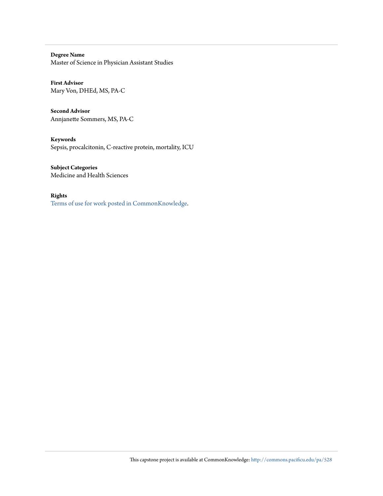**Degree Name** Master of Science in Physician Assistant Studies

**First Advisor** Mary Von, DHEd, MS, PA-C

**Second Advisor** Annjanette Sommers, MS, PA-C

**Keywords** Sepsis, procalcitonin, C-reactive protein, mortality, ICU

**Subject Categories** Medicine and Health Sciences

**Rights**

[Terms of use for work posted in CommonKnowledge](http://commons.pacificu.edu/rights.html).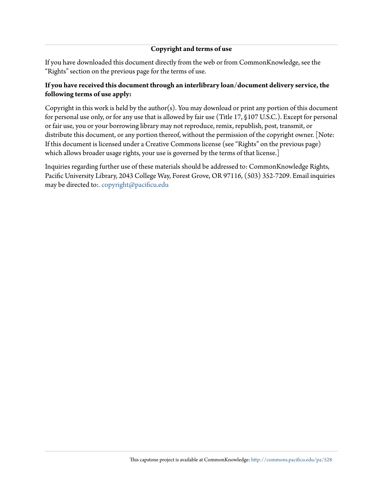### **Copyright and terms of use**

If you have downloaded this document directly from the web or from CommonKnowledge, see the "Rights" section on the previous page for the terms of use.

### **If you have received this document through an interlibrary loan/document delivery service, the following terms of use apply:**

Copyright in this work is held by the author(s). You may download or print any portion of this document for personal use only, or for any use that is allowed by fair use (Title 17, §107 U.S.C.). Except for personal or fair use, you or your borrowing library may not reproduce, remix, republish, post, transmit, or distribute this document, or any portion thereof, without the permission of the copyright owner. [Note: If this document is licensed under a Creative Commons license (see "Rights" on the previous page) which allows broader usage rights, your use is governed by the terms of that license.]

Inquiries regarding further use of these materials should be addressed to: CommonKnowledge Rights, Pacific University Library, 2043 College Way, Forest Grove, OR 97116, (503) 352-7209. Email inquiries may be directed to:[. copyright@pacificu.edu](mailto:copyright@pacificu.edu)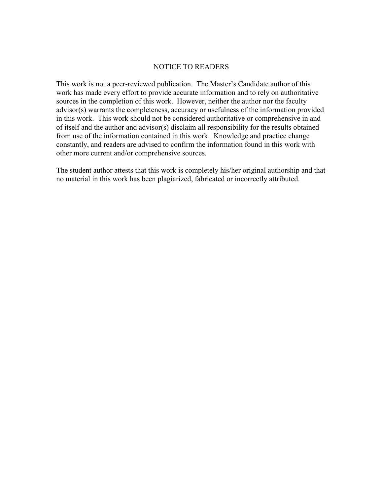### NOTICE TO READERS

This work is not a peer-reviewed publication. The Master's Candidate author of this work has made every effort to provide accurate information and to rely on authoritative sources in the completion of this work. However, neither the author nor the faculty advisor(s) warrants the completeness, accuracy or usefulness of the information provided in this work. This work should not be considered authoritative or comprehensive in and of itself and the author and advisor(s) disclaim all responsibility for the results obtained from use of the information contained in this work. Knowledge and practice change constantly, and readers are advised to confirm the information found in this work with other more current and/or comprehensive sources.

The student author attests that this work is completely his/her original authorship and that no material in this work has been plagiarized, fabricated or incorrectly attributed.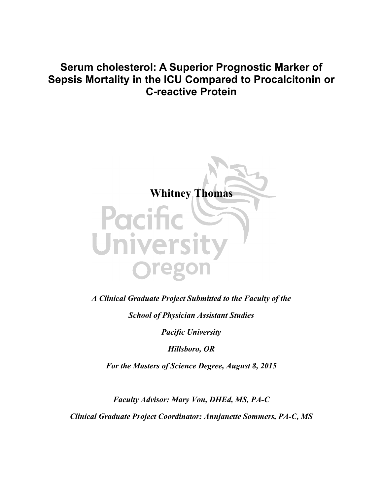# **Serum cholesterol: A Superior Prognostic Marker of Sepsis Mortality in the ICU Compared to Procalcitonin or C-reactive Protein**



*A Clinical Graduate Project Submitted to the Faculty of the*

*School of Physician Assistant Studies*

*Pacific University*

*Hillsboro, OR*

*For the Masters of Science Degree, August 8, 2015*

*Faculty Advisor: Mary Von, DHEd, MS, PA-C Clinical Graduate Project Coordinator: Annjanette Sommers, PA-C, MS*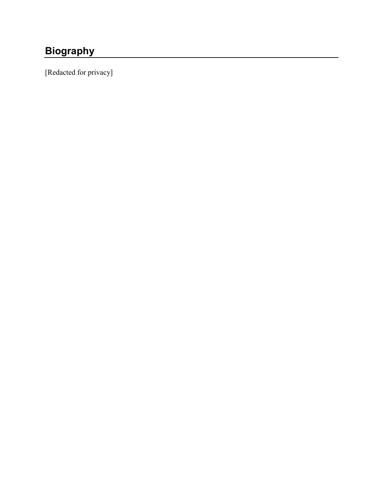# <span id="page-6-0"></span>**Biography**

[Redacted for privacy]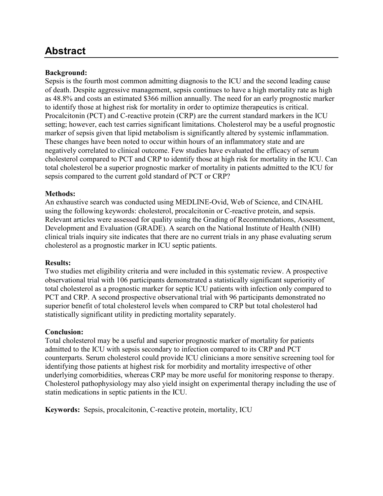## <span id="page-7-0"></span>**Abstract**

## **Background:**

Sepsis is the fourth most common admitting diagnosis to the ICU and the second leading cause of death. Despite aggressive management, sepsis continues to have a high mortality rate as high as 48.8% and costs an estimated \$366 million annually. The need for an early prognostic marker to identify those at highest risk for mortality in order to optimize therapeutics is critical. Procalcitonin (PCT) and C-reactive protein (CRP) are the current standard markers in the ICU setting; however, each test carries significant limitations. Cholesterol may be a useful prognostic marker of sepsis given that lipid metabolism is significantly altered by systemic inflammation. These changes have been noted to occur within hours of an inflammatory state and are negatively correlated to clinical outcome. Few studies have evaluated the efficacy of serum cholesterol compared to PCT and CRP to identify those at high risk for mortality in the ICU. Can total cholesterol be a superior prognostic marker of mortality in patients admitted to the ICU for sepsis compared to the current gold standard of PCT or CRP?

## **Methods:**

An exhaustive search was conducted using MEDLINE-Ovid, Web of Science, and CINAHL using the following keywords: cholesterol, procalcitonin or C-reactive protein, and sepsis. Relevant articles were assessed for quality using the Grading of Recommendations, Assessment, Development and Evaluation (GRADE). A search on the National Institute of Health (NIH) clinical trials inquiry site indicates that there are no current trials in any phase evaluating serum cholesterol as a prognostic marker in ICU septic patients.

## **Results:**

Two studies met eligibility criteria and were included in this systematic review. A prospective observational trial with 106 participants demonstrated a statistically significant superiority of total cholesterol as a prognostic marker for septic ICU patients with infection only compared to PCT and CRP. A second prospective observational trial with 96 participants demonstrated no superior benefit of total cholesterol levels when compared to CRP but total cholesterol had statistically significant utility in predicting mortality separately.

## **Conclusion:**

Total cholesterol may be a useful and superior prognostic marker of mortality for patients admitted to the ICU with sepsis secondary to infection compared to its CRP and PCT counterparts. Serum cholesterol could provide ICU clinicians a more sensitive screening tool for identifying those patients at highest risk for morbidity and mortality irrespective of other underlying comorbidities, whereas CRP may be more useful for monitoring response to therapy. Cholesterol pathophysiology may also yield insight on experimental therapy including the use of statin medications in septic patients in the ICU.

**Keywords:** Sepsis, procalcitonin, C-reactive protein, mortality, ICU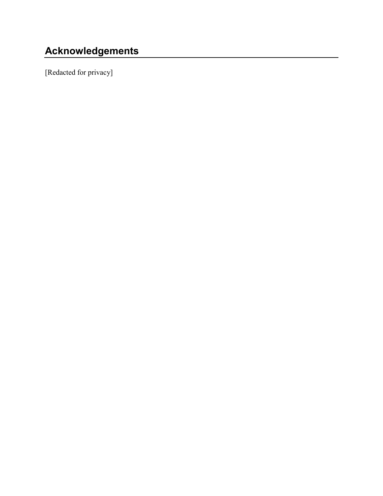# <span id="page-8-0"></span>**Acknowledgements**

[Redacted for privacy]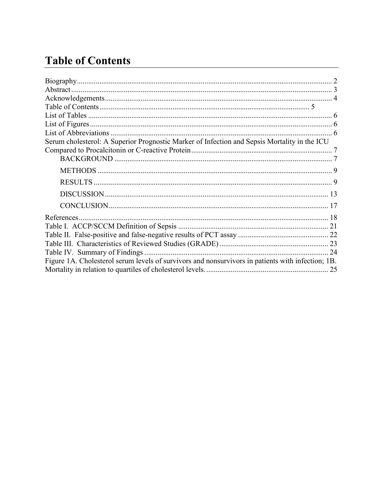# <span id="page-9-0"></span>**Table of Contents**

| Serum cholesterol: A Superior Prognostic Marker of Infection and Sepsis Mortality in the ICU      |    |
|---------------------------------------------------------------------------------------------------|----|
|                                                                                                   |    |
|                                                                                                   |    |
|                                                                                                   |    |
|                                                                                                   |    |
|                                                                                                   |    |
|                                                                                                   |    |
|                                                                                                   |    |
|                                                                                                   |    |
|                                                                                                   |    |
|                                                                                                   |    |
| Table IV. Summary of Findings                                                                     | 24 |
| Figure 1A. Cholesterol serum levels of survivors and nonsurvivors in patients with infection; 1B. |    |
|                                                                                                   |    |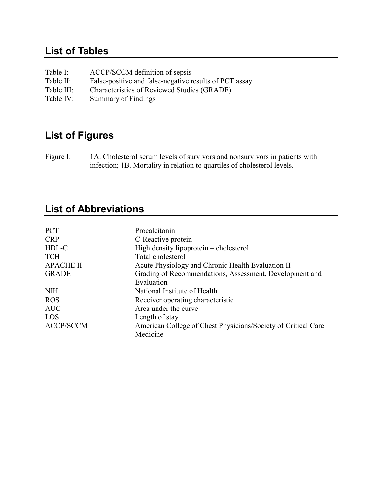# <span id="page-10-0"></span>**List of Tables**

| Table I:   | ACCP/SCCM definition of sepsis                         |
|------------|--------------------------------------------------------|
| Table II:  | False-positive and false-negative results of PCT assay |
| Table III: | Characteristics of Reviewed Studies (GRADE)            |
| Table IV:  | Summary of Findings                                    |

# <span id="page-10-1"></span>**List of Figures**

Figure I: 1A. Cholesterol serum levels of survivors and nonsurvivors in patients with infection; 1B. Mortality in relation to quartiles of cholesterol levels.

# <span id="page-10-2"></span>**List of Abbreviations**

| <b>PCT</b>       | Procalcitonin                                                 |
|------------------|---------------------------------------------------------------|
| <b>CRP</b>       | C-Reactive protein                                            |
| HDL-C            | High density lipoprotein – cholesterol                        |
| <b>TCH</b>       | Total cholesterol                                             |
| <b>APACHE II</b> | Acute Physiology and Chronic Health Evaluation II             |
| <b>GRADE</b>     | Grading of Recommendations, Assessment, Development and       |
|                  | Evaluation                                                    |
| <b>NIH</b>       | National Institute of Health                                  |
| <b>ROS</b>       | Receiver operating characteristic                             |
| <b>AUC</b>       | Area under the curve                                          |
| LOS              | Length of stay                                                |
| <b>ACCP/SCCM</b> | American College of Chest Physicians/Society of Critical Care |
|                  | Medicine                                                      |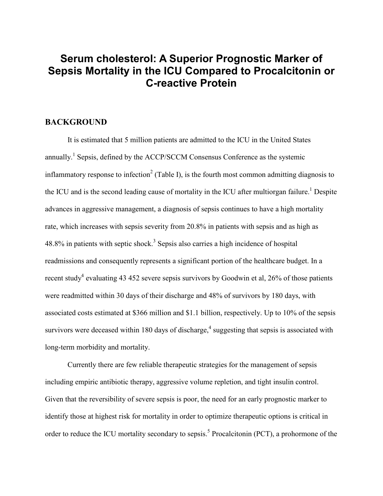## <span id="page-11-0"></span>**Serum cholesterol: A Superior Prognostic Marker of Sepsis Mortality in the ICU Compared to Procalcitonin or C-reactive Protein**

## <span id="page-11-1"></span>**BACKGROUND**

It is estimated that 5 million patients are admitted to the ICU in the United States annually.<sup>1</sup> Sepsis, defined by the ACCP/SCCM Consensus Conference as the systemic inflammatory response to infection<sup>2</sup> (Table I), is the fourth most common admitting diagnosis to the ICU and is the second leading cause of mortality in the ICU after multiorgan failure.<sup>1</sup> Despite advances in aggressive management, a diagnosis of sepsis continues to have a high mortality rate, which increases with sepsis severity from 20.8% in patients with sepsis and as high as 48.8% in patients with septic shock.<sup>3</sup> Sepsis also carries a high incidence of hospital readmissions and consequently represents a significant portion of the healthcare budget. In a recent study<sup>4</sup> evaluating 43 452 severe sepsis survivors by Goodwin et al,  $26\%$  of those patients were readmitted within 30 days of their discharge and 48% of survivors by 180 days, with associated costs estimated at \$366 million and \$1.1 billion, respectively. Up to 10% of the sepsis survivors were deceased within 180 days of discharge,<sup>4</sup> suggesting that sepsis is associated with long-term morbidity and mortality.

Currently there are few reliable therapeutic strategies for the management of sepsis including empiric antibiotic therapy, aggressive volume repletion, and tight insulin control. Given that the reversibility of severe sepsis is poor, the need for an early prognostic marker to identify those at highest risk for mortality in order to optimize therapeutic options is critical in order to reduce the ICU mortality secondary to sepsis.<sup>5</sup> Procalcitonin (PCT), a prohormone of the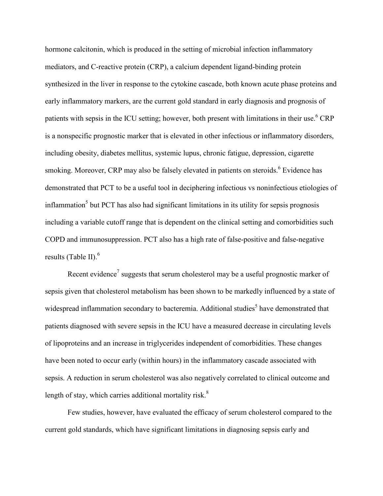hormone calcitonin, which is produced in the setting of microbial infection inflammatory mediators, and C-reactive protein (CRP), a calcium dependent ligand-binding protein synthesized in the liver in response to the cytokine cascade, both known acute phase proteins and early inflammatory markers, are the current gold standard in early diagnosis and prognosis of patients with sepsis in the ICU setting; however, both present with limitations in their use.<sup>6</sup> CRP is a nonspecific prognostic marker that is elevated in other infectious or inflammatory disorders, including obesity, diabetes mellitus, systemic lupus, chronic fatigue, depression, cigarette smoking. Moreover, CRP may also be falsely elevated in patients on steroids.<sup>6</sup> Evidence has demonstrated that PCT to be a useful tool in deciphering infectious vs noninfectious etiologies of  $inflammation<sup>5</sup>$  but PCT has also had significant limitations in its utility for sepsis prognosis including a variable cutoff range that is dependent on the clinical setting and comorbidities such COPD and immunosuppression. PCT also has a high rate of false-positive and false-negative results (Table II). 6

Recent evidence<sup>7</sup> suggests that serum cholesterol may be a useful prognostic marker of sepsis given that cholesterol metabolism has been shown to be markedly influenced by a state of widespread inflammation secondary to bacteremia. Additional studies<sup>5</sup> have demonstrated that patients diagnosed with severe sepsis in the ICU have a measured decrease in circulating levels of lipoproteins and an increase in triglycerides independent of comorbidities. These changes have been noted to occur early (within hours) in the inflammatory cascade associated with sepsis. A reduction in serum cholesterol was also negatively correlated to clinical outcome and length of stay, which carries additional mortality risk.<sup>8</sup>

Few studies, however, have evaluated the efficacy of serum cholesterol compared to the current gold standards, which have significant limitations in diagnosing sepsis early and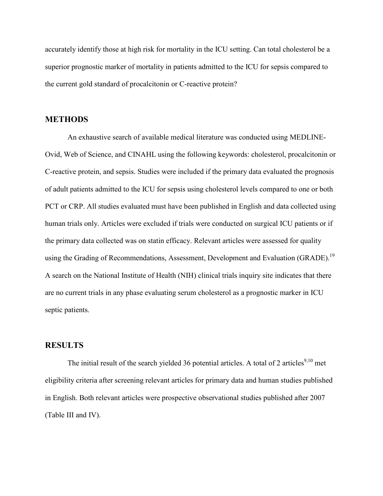accurately identify those at high risk for mortality in the ICU setting. Can total cholesterol be a superior prognostic marker of mortality in patients admitted to the ICU for sepsis compared to the current gold standard of procalcitonin or C-reactive protein?

### <span id="page-13-0"></span>**METHODS**

An exhaustive search of available medical literature was conducted using MEDLINE-Ovid, Web of Science, and CINAHL using the following keywords: cholesterol, procalcitonin or C-reactive protein, and sepsis. Studies were included if the primary data evaluated the prognosis of adult patients admitted to the ICU for sepsis using cholesterol levels compared to one or both PCT or CRP. All studies evaluated must have been published in English and data collected using human trials only. Articles were excluded if trials were conducted on surgical ICU patients or if the primary data collected was on statin efficacy. Relevant articles were assessed for quality using the Grading of Recommendations, Assessment, Development and Evaluation (GRADE).<sup>19</sup> A search on the National Institute of Health (NIH) clinical trials inquiry site indicates that there are no current trials in any phase evaluating serum cholesterol as a prognostic marker in ICU septic patients.

## <span id="page-13-1"></span>**RESULTS**

The initial result of the search yielded 36 potential articles. A total of 2 articles<sup>9,10</sup> met eligibility criteria after screening relevant articles for primary data and human studies published in English. Both relevant articles were prospective observational studies published after 2007 (Table III and IV).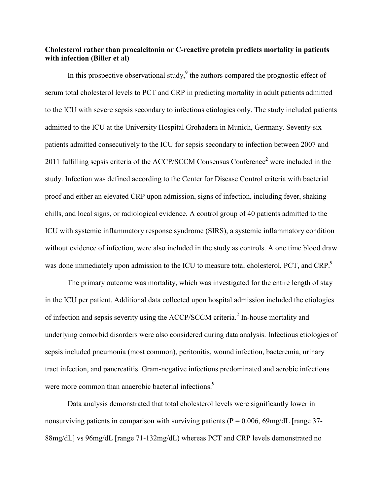### **Cholesterol rather than procalcitonin or C-reactive protein predicts mortality in patients with infection (Biller et al)**

In this prospective observational study, $9$  the authors compared the prognostic effect of serum total cholesterol levels to PCT and CRP in predicting mortality in adult patients admitted to the ICU with severe sepsis secondary to infectious etiologies only. The study included patients admitted to the ICU at the University Hospital Grohadern in Munich, Germany. Seventy-six patients admitted consecutively to the ICU for sepsis secondary to infection between 2007 and 2011 fulfilling sepsis criteria of the ACCP/SCCM Consensus Conference<sup>2</sup> were included in the study. Infection was defined according to the Center for Disease Control criteria with bacterial proof and either an elevated CRP upon admission, signs of infection, including fever, shaking chills, and local signs, or radiological evidence. A control group of 40 patients admitted to the ICU with systemic inflammatory response syndrome (SIRS), a systemic inflammatory condition without evidence of infection, were also included in the study as controls. A one time blood draw was done immediately upon admission to the ICU to measure total cholesterol, PCT, and CRP.

The primary outcome was mortality, which was investigated for the entire length of stay in the ICU per patient. Additional data collected upon hospital admission included the etiologies of infection and sepsis severity using the ACCP/SCCM criteria.<sup>2</sup> In-house mortality and underlying comorbid disorders were also considered during data analysis. Infectious etiologies of sepsis included pneumonia (most common), peritonitis, wound infection, bacteremia, urinary tract infection, and pancreatitis. Gram-negative infections predominated and aerobic infections were more common than anaerobic bacterial infections.<sup>9</sup>

Data analysis demonstrated that total cholesterol levels were significantly lower in nonsurviving patients in comparison with surviving patients ( $P = 0.006$ , 69mg/dL [range 37-88mg/dL] vs 96mg/dL [range 71-132mg/dL) whereas PCT and CRP levels demonstrated no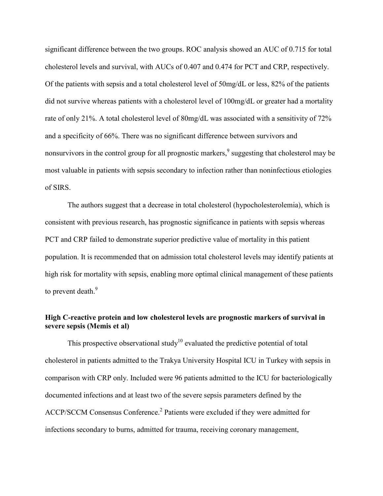significant difference between the two groups. ROC analysis showed an AUC of 0.715 for total cholesterol levels and survival, with AUCs of 0.407 and 0.474 for PCT and CRP, respectively. Of the patients with sepsis and a total cholesterol level of 50mg/dL or less, 82% of the patients did not survive whereas patients with a cholesterol level of 100mg/dL or greater had a mortality rate of only 21%. A total cholesterol level of 80mg/dL was associated with a sensitivity of 72% and a specificity of 66%. There was no significant difference between survivors and nonsurvivors in the control group for all prognostic markers,<sup>9</sup> suggesting that cholesterol may be most valuable in patients with sepsis secondary to infection rather than noninfectious etiologies of SIRS.

The authors suggest that a decrease in total cholesterol (hypocholesterolemia), which is consistent with previous research, has prognostic significance in patients with sepsis whereas PCT and CRP failed to demonstrate superior predictive value of mortality in this patient population. It is recommended that on admission total cholesterol levels may identify patients at high risk for mortality with sepsis, enabling more optimal clinical management of these patients to prevent death.<sup>9</sup>

## **High C-reactive protein and low cholesterol levels are prognostic markers of survival in severe sepsis (Memis et al)**

This prospective observational study<sup>10</sup> evaluated the predictive potential of total cholesterol in patients admitted to the Trakya University Hospital ICU in Turkey with sepsis in comparison with CRP only. Included were 96 patients admitted to the ICU for bacteriologically documented infections and at least two of the severe sepsis parameters defined by the ACCP/SCCM Consensus Conference. <sup>2</sup> Patients were excluded if they were admitted for infections secondary to burns, admitted for trauma, receiving coronary management,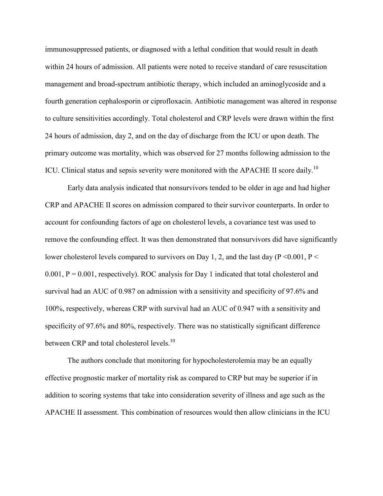immunosuppressed patients, or diagnosed with a lethal condition that would result in death within 24 hours of admission. All patients were noted to receive standard of care resuscitation management and broad-spectrum antibiotic therapy, which included an aminoglycoside and a fourth generation cephalosporin or ciprofloxacin. Antibiotic management was altered in response to culture sensitivities accordingly. Total cholesterol and CRP levels were drawn within the first 24 hours of admission, day 2, and on the day of discharge from the ICU or upon death. The primary outcome was mortality, which was observed for 27 months following admission to the ICU. Clinical status and sepsis severity were monitored with the APACHE II score daily.<sup>10</sup>

Early data analysis indicated that nonsurvivors tended to be older in age and had higher CRP and APACHE II scores on admission compared to their survivor counterparts. In order to account for confounding factors of age on cholesterol levels, a covariance test was used to remove the confounding effect. It was then demonstrated that nonsurvivors did have significantly lower cholesterol levels compared to survivors on Day 1, 2, and the last day ( $P \le 0.001$ ,  $P \le$  $0.001$ ,  $P = 0.001$ , respectively). ROC analysis for Day 1 indicated that total cholesterol and survival had an AUC of 0.987 on admission with a sensitivity and specificity of 97.6% and 100%, respectively, whereas CRP with survival had an AUC of 0.947 with a sensitivity and specificity of 97.6% and 80%, respectively. There was no statistically significant difference between CRP and total cholesterol levels.<sup>10</sup>

The authors conclude that monitoring for hypocholesterolemia may be an equally effective prognostic marker of mortality risk as compared to CRP but may be superior if in addition to scoring systems that take into consideration severity of illness and age such as the APACHE II assessment. This combination of resources would then allow clinicians in the ICU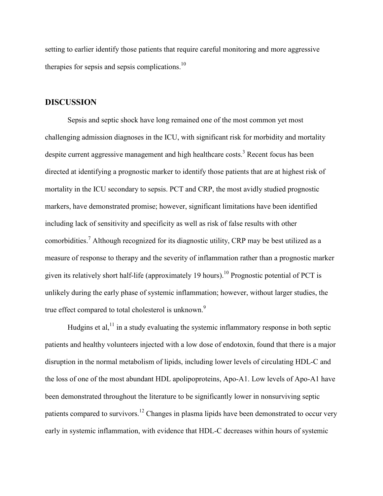setting to earlier identify those patients that require careful monitoring and more aggressive therapies for sepsis and sepsis complications.<sup>10</sup>

### <span id="page-17-0"></span>**DISCUSSION**

Sepsis and septic shock have long remained one of the most common yet most challenging admission diagnoses in the ICU, with significant risk for morbidity and mortality despite current aggressive management and high healthcare costs.<sup>3</sup> Recent focus has been directed at identifying a prognostic marker to identify those patients that are at highest risk of mortality in the ICU secondary to sepsis. PCT and CRP, the most avidly studied prognostic markers, have demonstrated promise; however, significant limitations have been identified including lack of sensitivity and specificity as well as risk of false results with other comorbidities.<sup>7</sup> Although recognized for its diagnostic utility, CRP may be best utilized as a measure of response to therapy and the severity of inflammation rather than a prognostic marker given its relatively short half-life (approximately 19 hours).<sup>10</sup> Prognostic potential of PCT is unlikely during the early phase of systemic inflammation; however, without larger studies, the true effect compared to total cholesterol is unknown.<sup>9</sup>

Hudgins et al,  $11$  in a study evaluating the systemic inflammatory response in both septic patients and healthy volunteers injected with a low dose of endotoxin, found that there is a major disruption in the normal metabolism of lipids, including lower levels of circulating HDL-C and the loss of one of the most abundant HDL apolipoproteins, Apo-A1. Low levels of Apo-A1 have been demonstrated throughout the literature to be significantly lower in nonsurviving septic patients compared to survivors.<sup>12</sup> Changes in plasma lipids have been demonstrated to occur very early in systemic inflammation, with evidence that HDL-C decreases within hours of systemic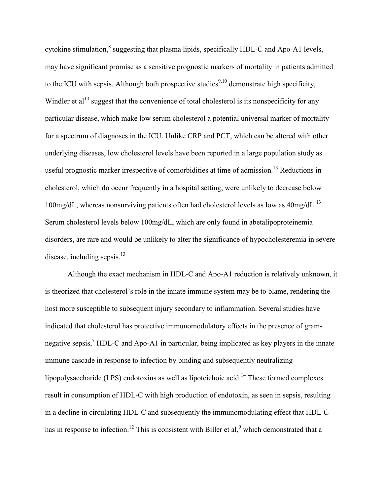cytokine stimulation,<sup>8</sup> suggesting that plasma lipids, specifically HDL-C and Apo-A1 levels, may have significant promise as a sensitive prognostic markers of mortality in patients admitted to the ICU with sepsis. Although both prospective studies<sup>9,10</sup> demonstrate high specificity, Windler et  $al<sup>13</sup>$  suggest that the convenience of total cholesterol is its nonspecificity for any particular disease, which make low serum cholesterol a potential universal marker of mortality for a spectrum of diagnoses in the ICU. Unlike CRP and PCT, which can be altered with other underlying diseases, low cholesterol levels have been reported in a large population study as useful prognostic marker irrespective of comorbidities at time of admission.<sup>13</sup> Reductions in cholesterol, which do occur frequently in a hospital setting, were unlikely to decrease below 100mg/dL, whereas nonsurviving patients often had cholesterol levels as low as  $40$ mg/dL.<sup>13</sup> Serum cholesterol levels below 100mg/dL, which are only found in abetalipoproteinemia disorders, are rare and would be unlikely to alter the significance of hypocholesteremia in severe disease, including sepsis.<sup>13</sup>

Although the exact mechanism in HDL-C and Apo-A1 reduction is relatively unknown, it is theorized that cholesterol's role in the innate immune system may be to blame, rendering the host more susceptible to subsequent injury secondary to inflammation. Several studies have indicated that cholesterol has protective immunomodulatory effects in the presence of gramnegative sepsis,<sup>7</sup> HDL-C and Apo-A1 in particular, being implicated as key players in the innate immune cascade in response to infection by binding and subsequently neutralizing lipopolysaccharide (LPS) endotoxins as well as lipoteichoic acid.<sup>14</sup> These formed complexes result in consumption of HDL-C with high production of endotoxin, as seen in sepsis, resulting in a decline in circulating HDL-C and subsequently the immunomodulating effect that HDL-C has in response to infection.<sup>12</sup> This is consistent with Biller et al,  $9$  which demonstrated that a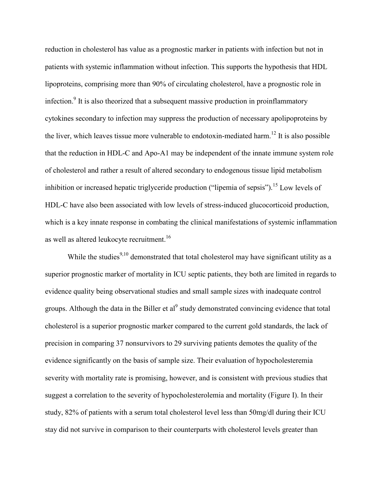reduction in cholesterol has value as a prognostic marker in patients with infection but not in patients with systemic inflammation without infection. This supports the hypothesis that HDL lipoproteins, comprising more than 90% of circulating cholesterol, have a prognostic role in infection.<sup>9</sup> It is also theorized that a subsequent massive production in proinflammatory cytokines secondary to infection may suppress the production of necessary apolipoproteins by the liver, which leaves tissue more vulnerable to endotoxin-mediated harm.<sup>12</sup> It is also possible that the reduction in HDL-C and Apo-A1 may be independent of the innate immune system role of cholesterol and rather a result of altered secondary to endogenous tissue lipid metabolism inhibition or increased hepatic triglyceride production ("lipemia of sepsis").<sup>15</sup> Low levels of HDL-C have also been associated with low levels of stress-induced glucocorticoid production, which is a key innate response in combating the clinical manifestations of systemic inflammation as well as altered leukocyte recruitment.<sup>16</sup>

While the studies<sup>9,10</sup> demonstrated that total cholesterol may have significant utility as a superior prognostic marker of mortality in ICU septic patients, they both are limited in regards to evidence quality being observational studies and small sample sizes with inadequate control groups. Although the data in the Biller et al<sup>9</sup> study demonstrated convincing evidence that total cholesterol is a superior prognostic marker compared to the current gold standards, the lack of precision in comparing 37 nonsurvivors to 29 surviving patients demotes the quality of the evidence significantly on the basis of sample size. Their evaluation of hypocholesteremia severity with mortality rate is promising, however, and is consistent with previous studies that suggest a correlation to the severity of hypocholesterolemia and mortality (Figure I). In their study, 82% of patients with a serum total cholesterol level less than 50mg/dl during their ICU stay did not survive in comparison to their counterparts with cholesterol levels greater than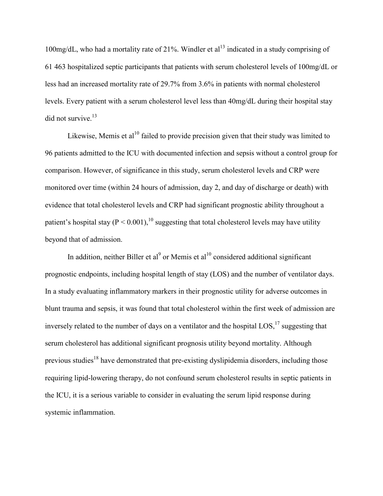100mg/dL, who had a mortality rate of 21%. Windler et al<sup>13</sup> indicated in a study comprising of 61 463 hospitalized septic participants that patients with serum cholesterol levels of 100mg/dL or less had an increased mortality rate of 29.7% from 3.6% in patients with normal cholesterol levels. Every patient with a serum cholesterol level less than 40mg/dL during their hospital stay did not survive.<sup>13</sup>

Likewise, Memis et al<sup>10</sup> failed to provide precision given that their study was limited to 96 patients admitted to the ICU with documented infection and sepsis without a control group for comparison. However, of significance in this study, serum cholesterol levels and CRP were monitored over time (within 24 hours of admission, day 2, and day of discharge or death) with evidence that total cholesterol levels and CRP had significant prognostic ability throughout a patient's hospital stay ( $P < 0.001$ ), <sup>10</sup> suggesting that total cholesterol levels may have utility beyond that of admission.

In addition, neither Biller et al<sup>9</sup> or Memis et al<sup>10</sup> considered additional significant prognostic endpoints, including hospital length of stay (LOS) and the number of ventilator days. In a study evaluating inflammatory markers in their prognostic utility for adverse outcomes in blunt trauma and sepsis, it was found that total cholesterol within the first week of admission are inversely related to the number of days on a ventilator and the hospital  $\text{LOS},^{17}$  suggesting that serum cholesterol has additional significant prognosis utility beyond mortality. Although previous studies<sup>18</sup> have demonstrated that pre-existing dyslipidemia disorders, including those requiring lipid-lowering therapy, do not confound serum cholesterol results in septic patients in the ICU, it is a serious variable to consider in evaluating the serum lipid response during systemic inflammation.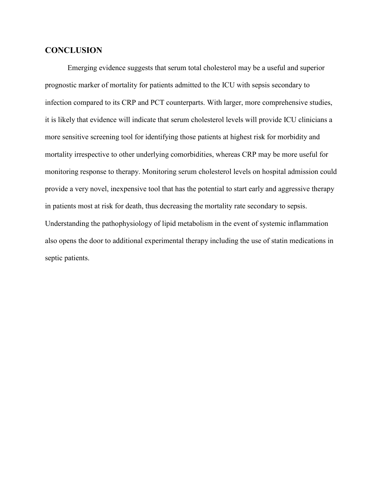### <span id="page-21-0"></span>**CONCLUSION**

Emerging evidence suggests that serum total cholesterol may be a useful and superior prognostic marker of mortality for patients admitted to the ICU with sepsis secondary to infection compared to its CRP and PCT counterparts. With larger, more comprehensive studies, it is likely that evidence will indicate that serum cholesterol levels will provide ICU clinicians a more sensitive screening tool for identifying those patients at highest risk for morbidity and mortality irrespective to other underlying comorbidities, whereas CRP may be more useful for monitoring response to therapy. Monitoring serum cholesterol levels on hospital admission could provide a very novel, inexpensive tool that has the potential to start early and aggressive therapy in patients most at risk for death, thus decreasing the mortality rate secondary to sepsis. Understanding the pathophysiology of lipid metabolism in the event of systemic inflammation also opens the door to additional experimental therapy including the use of statin medications in septic patients.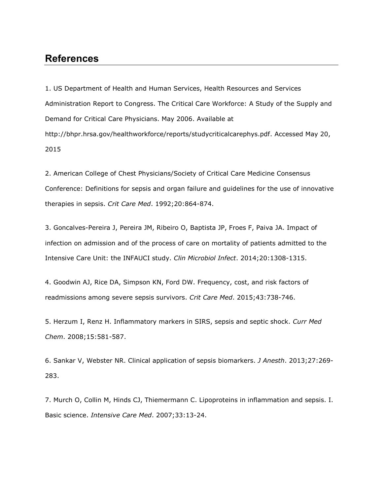## <span id="page-22-0"></span>**References**

1. US Department of Health and Human Services, Health Resources and Services Administration Report to Congress. The Critical Care Workforce: A Study of the Supply and Demand for Critical Care Physicians. May 2006. Available at [http://bhpr.hrsa.gov/healthworkforce/reports/studycriticalcarephys.pdf.](http://bhpr.hrsa.gov/healthworkforce/reports/studycriticalcarephys.pdf) Accessed May 20, 2015

2. American College of Chest Physicians/Society of Critical Care Medicine Consensus Conference: Definitions for sepsis and organ failure and guidelines for the use of innovative therapies in sepsis. *Crit Care Med*. 1992;20:864-874.

3. Goncalves-Pereira J, Pereira JM, Ribeiro O, Baptista JP, Froes F, Paiva JA. Impact of infection on admission and of the process of care on mortality of patients admitted to the Intensive Care Unit: the INFAUCI study. *Clin Microbiol Infect*. 2014;20:1308-1315.

4. Goodwin AJ, Rice DA, Simpson KN, Ford DW. Frequency, cost, and risk factors of readmissions among severe sepsis survivors. *Crit Care Med*. 2015;43:738-746.

5. Herzum I, Renz H. Inflammatory markers in SIRS, sepsis and septic shock. *Curr Med Chem*. 2008;15:581-587.

6. Sankar V, Webster NR. Clinical application of sepsis biomarkers. *J Anesth*. 2013;27:269- 283.

7. Murch O, Collin M, Hinds CJ, Thiemermann C. Lipoproteins in inflammation and sepsis. I. Basic science. *Intensive Care Med*. 2007;33:13-24.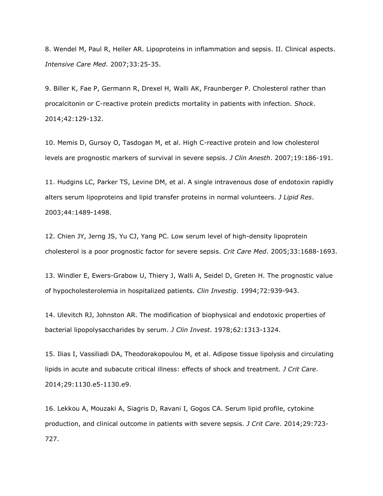8. Wendel M, Paul R, Heller AR. Lipoproteins in inflammation and sepsis. II. Clinical aspects. *Intensive Care Med*. 2007;33:25-35.

9. Biller K, Fae P, Germann R, Drexel H, Walli AK, Fraunberger P. Cholesterol rather than procalcitonin or C-reactive protein predicts mortality in patients with infection. *Shock*. 2014;42:129-132.

10. Memis D, Gursoy O, Tasdogan M, et al. High C-reactive protein and low cholesterol levels are prognostic markers of survival in severe sepsis. *J Clin Anesth*. 2007;19:186-191.

11. Hudgins LC, Parker TS, Levine DM, et al. A single intravenous dose of endotoxin rapidly alters serum lipoproteins and lipid transfer proteins in normal volunteers. *J Lipid Res*. 2003;44:1489-1498.

12. Chien JY, Jerng JS, Yu CJ, Yang PC. Low serum level of high-density lipoprotein cholesterol is a poor prognostic factor for severe sepsis. *Crit Care Med*. 2005;33:1688-1693.

13. Windler E, Ewers-Grabow U, Thiery J, Walli A, Seidel D, Greten H. The prognostic value of hypocholesterolemia in hospitalized patients. *Clin Investig*. 1994;72:939-943.

14. Ulevitch RJ, Johnston AR. The modification of biophysical and endotoxic properties of bacterial lipopolysaccharides by serum. *J Clin Invest*. 1978;62:1313-1324.

15. Ilias I, Vassiliadi DA, Theodorakopoulou M, et al. Adipose tissue lipolysis and circulating lipids in acute and subacute critical illness: effects of shock and treatment. *J Crit Care*. 2014;29:1130.e5-1130.e9.

16. Lekkou A, Mouzaki A, Siagris D, Ravani I, Gogos CA. Serum lipid profile, cytokine production, and clinical outcome in patients with severe sepsis. *J Crit Care*. 2014;29:723- 727.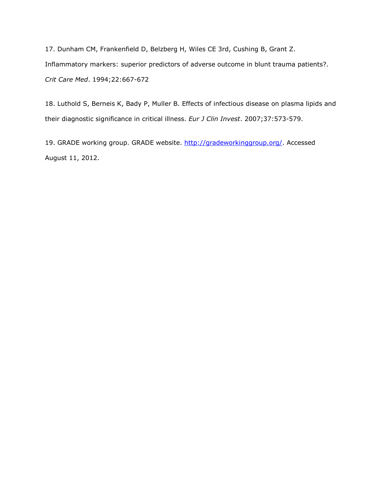17. Dunham CM, Frankenfield D, Belzberg H, Wiles CE 3rd, Cushing B, Grant Z. Inflammatory markers: superior predictors of adverse outcome in blunt trauma patients?. *Crit Care Med*. 1994;22:667-672

18. Luthold S, Berneis K, Bady P, Muller B. Effects of infectious disease on plasma lipids and their diagnostic significance in critical illness. *Eur J Clin Invest*. 2007;37:573-579.

19. GRADE working group. GRADE website. [http://gradeworkinggroup.org/.](http://gradeworkinggroup.org/) Accessed August 11, 2012.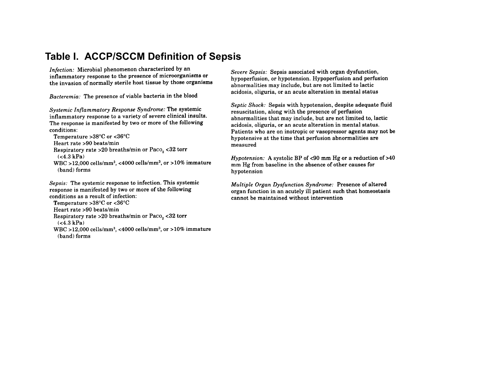## **Table I. ACCP/SCCM Definition of Sepsis**

Infection: Microbial phenomenon characterized by an inflammatory response to the presence of microorganisms or the invasion of normally sterile host tissue by those organisms

Bacteremia: The presence of viable bacteria in the blood

Systemic Inflammatory Response Syndrome: The systemic inflammatory response to a variety of severe clinical insults. The response is manifested by two or more of the following conditions:

Temperature >38°C or <36°C Heart rate >90 beats/min Respiratory rate >20 breaths/min or Paco<sub>2</sub> <32 torr  $(**4.3 kPa**)$ WBC >12,000 cells/mm<sup>3</sup>, <4000 cells/mm<sup>3</sup>, or >10% immature

<span id="page-25-0"></span>(band) forms

Sepsis: The systemic response to infection. This systemic response is manifested by two or more of the following conditions as a result of infection:

Temperature  $>38^{\circ}$ C or < $36^{\circ}$ C

```
Heart rate >90 beats/min
```

```
Respiratory rate > 20 breaths/min or Paco_2 < 32 torr
(<4.3 kPa)
```
WBC >12,000 cells/mm<sup>3</sup>, <4000 cells/mm<sup>3</sup>, or >10% immature (band) forms

Severe Sepsis: Sepsis associated with organ dysfunction, hypoperfusion, or hypotension. Hypoperfusion and perfusion abnormalities may include, but are not limited to lactic acidosis, oliguria, or an acute alteration in mental status

Septic Shock: Sepsis with hypotension, despite adequate fluid resuscitation, along with the presence of perfusion abnormalities that may include, but are not limited to, lactic acidosis, oliguria, or an acute alteration in mental status. Patients who are on inotropic or vasopressor agents may not be hypotensive at the time that perfusion abnormalities are measured

*Hypotension:* A systolic BP of <90 mm Hg or a reduction of  $>40$ mm Hg from baseline in the absence of other causes for hypotension

Multiple Organ Dysfunction Syndrome: Presence of altered organ function in an acutely ill patient such that homeostasis cannot be maintained without intervention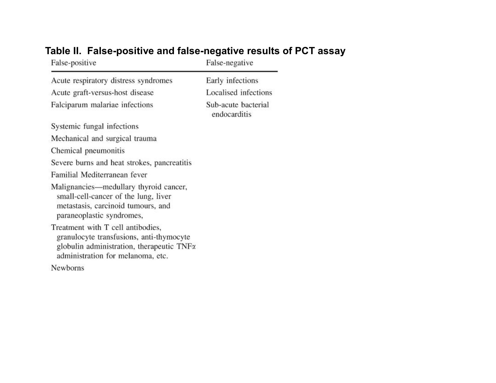<span id="page-26-0"></span>

| False-positive                                                                                                                                                  | False-negative                      |
|-----------------------------------------------------------------------------------------------------------------------------------------------------------------|-------------------------------------|
| Acute respiratory distress syndromes                                                                                                                            | Early infections                    |
| Acute graft-versus-host disease                                                                                                                                 | Localised infections                |
| Falciparum malariae infections                                                                                                                                  | Sub-acute bacterial<br>endocarditis |
| Systemic fungal infections                                                                                                                                      |                                     |
| Mechanical and surgical trauma                                                                                                                                  |                                     |
| Chemical pneumonitis                                                                                                                                            |                                     |
| Severe burns and heat strokes, pancreatitis                                                                                                                     |                                     |
| Familial Mediterranean fever                                                                                                                                    |                                     |
| Malignancies—medullary thyroid cancer,<br>small-cell-cancer of the lung, liver<br>metastasis, carcinoid tumours, and<br>paraneoplastic syndromes,               |                                     |
| Treatment with T cell antibodies,<br>granulocyte transfusions, anti-thymocyte<br>globulin administration, therapeutic TNFx<br>administration for melanoma, etc. |                                     |
| Newborns                                                                                                                                                        |                                     |

# **Table II. False-positive and false-negative results of PCT assay**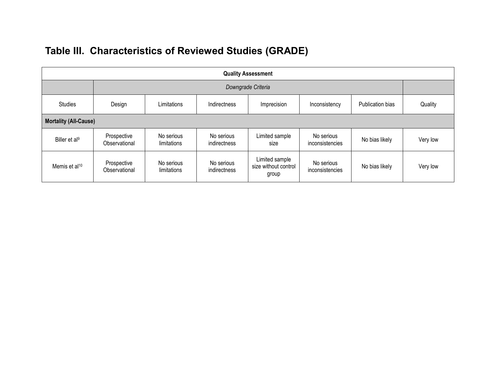<span id="page-27-0"></span>

| <b>Quality Assessment</b>    |                              |                           |                            |                                                 |                               |                  |          |
|------------------------------|------------------------------|---------------------------|----------------------------|-------------------------------------------------|-------------------------------|------------------|----------|
| Downgrade Criteria           |                              |                           |                            |                                                 |                               |                  |          |
| <b>Studies</b>               | Design                       | Limitations               | Indirectness               | Imprecision                                     | Inconsistency                 | Publication bias | Quality  |
| <b>Mortality (All-Cause)</b> |                              |                           |                            |                                                 |                               |                  |          |
| Biller et al <sup>9</sup>    | Prospective<br>Observational | No serious<br>limitations | No serious<br>indirectness | Limited sample<br>size                          | No serious<br>inconsistencies | No bias likely   | Very low |
| Memis et al <sup>10</sup>    | Prospective<br>Observational | No serious<br>limitations | No serious<br>indirectness | Limited sample<br>size without control<br>group | No serious<br>inconsistencies | No bias likely   | Very low |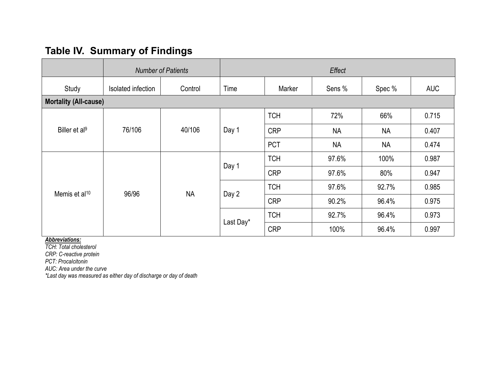# **Table IV. Summary of Findings**

|                           | <b>Number of Patients</b>    |           | Effect    |            |           |           |            |
|---------------------------|------------------------------|-----------|-----------|------------|-----------|-----------|------------|
| Study                     | Isolated infection           | Control   | Time      | Marker     | Sens %    | Spec %    | <b>AUC</b> |
|                           | <b>Mortality (All-cause)</b> |           |           |            |           |           |            |
| Biller et al <sup>9</sup> | 76/106                       | 40/106    | Day 1     | <b>TCH</b> | 72%       | 66%       | 0.715      |
|                           |                              |           |           | <b>CRP</b> | <b>NA</b> | <b>NA</b> | 0.407      |
|                           |                              |           |           | <b>PCT</b> | <b>NA</b> | <b>NA</b> | 0.474      |
| Memis et al <sup>10</sup> | 96/96                        | <b>NA</b> | Day 1     | <b>TCH</b> | 97.6%     | 100%      | 0.987      |
|                           |                              |           |           | <b>CRP</b> | 97.6%     | 80%       | 0.947      |
|                           |                              |           | Day 2     | <b>TCH</b> | 97.6%     | 92.7%     | 0.985      |
|                           |                              |           |           | <b>CRP</b> | 90.2%     | 96.4%     | 0.975      |
|                           |                              |           | Last Day* | <b>TCH</b> | 92.7%     | 96.4%     | 0.973      |
|                           |                              |           |           | <b>CRP</b> | 100%      | 96.4%     | 0.997      |

<span id="page-28-0"></span>*Abbreviations:*

*TCH: Total cholesterol*

*CRP: C-reactive protein*

*PCT: Procalcitonin*

*AUC: Area under the curve*

*\*Last day was measured as either day of discharge or day of death*